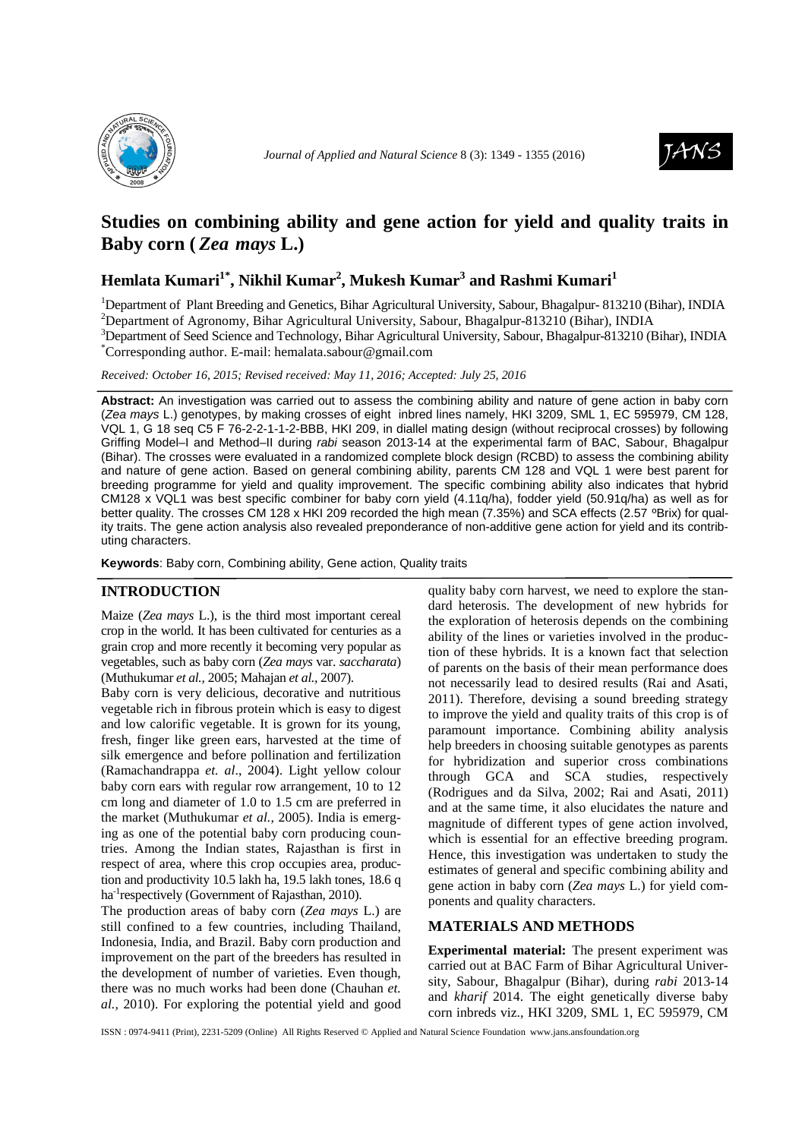



# **Studies on combining ability and gene action for yield and quality traits in**  Baby corn (*Zea mays* L.)

## **Hemlata Kumari1\*, Nikhil Kumar<sup>2</sup> , Mukesh Kumar<sup>3</sup> and Rashmi Kumari<sup>1</sup>**

<sup>1</sup>Department of Plant Breeding and Genetics, Bihar Agricultural University, Sabour, Bhagalpur- 813210 (Bihar), INDIA <sup>2</sup>Department of Agronomy, Bihar Agricultural University, Sabour, Bhagalpur-813210 (Bihar), INDIA

<sup>3</sup>Department of Seed Science and Technology, Bihar Agricultural University, Sabour, Bhagalpur-813210 (Bihar), INDIA \*Corresponding author. E-mail: hemalata.sabour@gmail.com

*Received: October 16, 2015; Revised received: May 11, 2016; Accepted: July 25, 2016*

**Abstract:** An investigation was carried out to assess the combining ability and nature of gene action in baby corn (Zea mays L.) genotypes, by making crosses of eight inbred lines namely, HKI 3209, SML 1, EC 595979, CM 128, VQL 1, G 18 seq C5 F 76-2-2-1-1-2-BBB, HKI 209, in diallel mating design (without reciprocal crosses) by following Griffing Model–I and Method–II during rabi season 2013-14 at the experimental farm of BAC, Sabour, Bhagalpur (Bihar). The crosses were evaluated in a randomized complete block design (RCBD) to assess the combining ability and nature of gene action. Based on general combining ability, parents CM 128 and VQL 1 were best parent for breeding programme for yield and quality improvement. The specific combining ability also indicates that hybrid CM128 x VQL1 was best specific combiner for baby corn yield (4.11q/ha), fodder yield (50.91q/ha) as well as for better quality. The crosses CM 128 x HKI 209 recorded the high mean (7.35%) and SCA effects (2.57 °Brix) for quality traits. The gene action analysis also revealed preponderance of non-additive gene action for yield and its contributing characters.

**Keywords**: Baby corn, Combining ability, Gene action, Quality traits

#### **INTRODUCTION**

Maize (*Zea mays* L.), is the third most important cereal crop in the world. It has been cultivated for centuries as a grain crop and more recently it becoming very popular as vegetables, such as baby corn (*Zea mays* var. *saccharata*) (Muthukumar *et al.,* 2005; Mahajan *et al.,* 2007).

Baby corn is very delicious, decorative and nutritious vegetable rich in fibrous protein which is easy to digest and low calorific vegetable. It is grown for its young, fresh, finger like green ears, harvested at the time of silk emergence and before pollination and fertilization (Ramachandrappa *et. al*., 2004). Light yellow colour baby corn ears with regular row arrangement, 10 to 12 cm long and diameter of 1.0 to 1.5 cm are preferred in the market (Muthukumar *et al.,* 2005). India is emerging as one of the potential baby corn producing countries. Among the Indian states, Rajasthan is first in respect of area, where this crop occupies area, production and productivity 10.5 lakh ha, 19.5 lakh tones, 18.6 q ha<sup>-1</sup>respectively (Government of Rajasthan, 2010).

The production areas of baby corn (*Zea mays* L.) are still confined to a few countries, including Thailand, Indonesia, India, and Brazil. Baby corn production and improvement on the part of the breeders has resulted in the development of number of varieties. Even though, there was no much works had been done (Chauhan *et. al.,* 2010). For exploring the potential yield and good

quality baby corn harvest, we need to explore the standard heterosis. The development of new hybrids for the exploration of heterosis depends on the combining ability of the lines or varieties involved in the production of these hybrids. It is a known fact that selection of parents on the basis of their mean performance does not necessarily lead to desired results (Rai and Asati, 2011). Therefore, devising a sound breeding strategy to improve the yield and quality traits of this crop is of paramount importance. Combining ability analysis help breeders in choosing suitable genotypes as parents for hybridization and superior cross combinations through GCA and SCA studies, respectively (Rodrigues and da Silva, 2002; Rai and Asati, 2011) and at the same time, it also elucidates the nature and magnitude of different types of gene action involved, which is essential for an effective breeding program. Hence, this investigation was undertaken to study the estimates of general and specific combining ability and gene action in baby corn (*Zea mays* L.) for yield components and quality characters.

### **MATERIALS AND METHODS**

**Experimental material:** The present experiment was carried out at BAC Farm of Bihar Agricultural University, Sabour, Bhagalpur (Bihar), during *rabi* 2013-14 and *kharif* 2014. The eight genetically diverse baby corn inbreds viz., HKI 3209, SML 1, EC 595979, CM

ISSN : 0974-9411 (Print), 2231-5209 (Online) All Rights Reserved © Applied and Natural Science Foundation www.jans.ansfoundation.org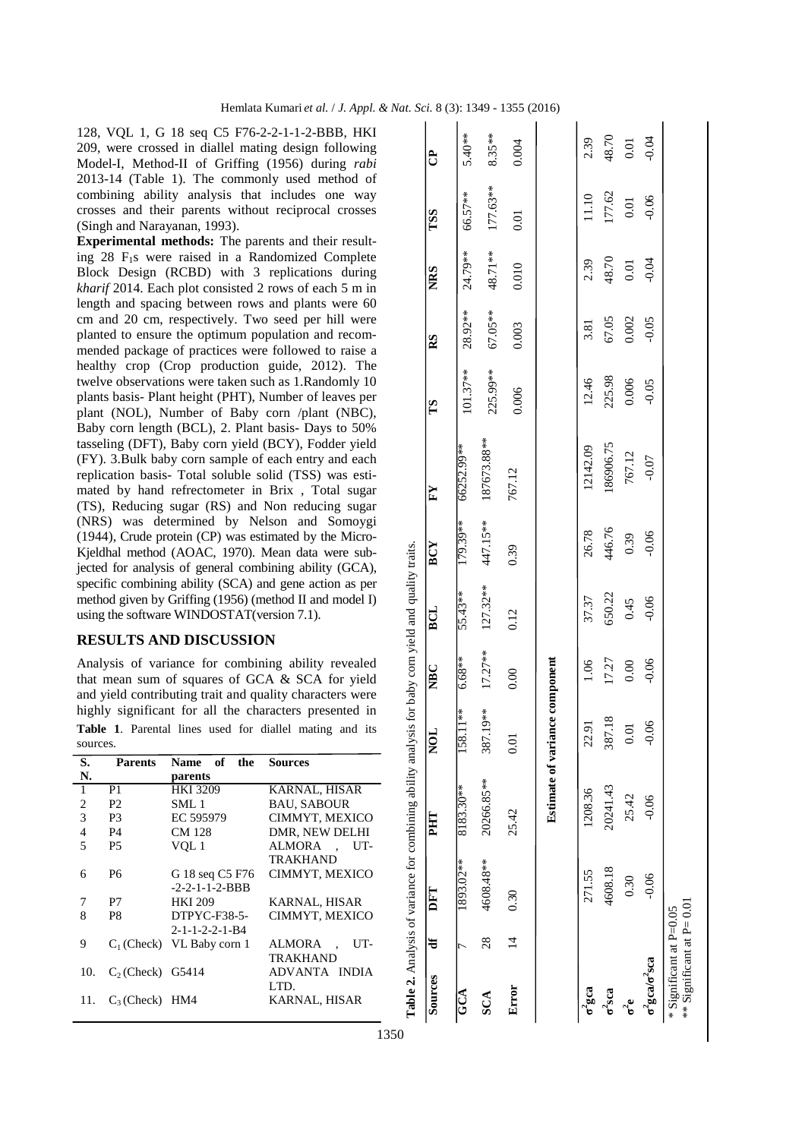128, VQL 1, G 18 seq C5 F76-2-2-1-1-2-BBB, HKI 209, were crossed in diallel mating design following Model-I, Method-II of Griffing (1956) during *rabi* 2013-14 (Table 1). The commonly used method of combining ability analysis that includes one way crosses and their parents without reciprocal crosses (Singh and Narayanan, 1993).

**Experimental methods:** The parents and their resulting 28 F1s were raised in a Randomized Complete Block Design (RCBD) with 3 replications during *kharif* 2014. Each plot consisted 2 rows of each 5 m in length and spacing between rows and plants were 60 cm and 20 cm, respectively. Two seed per hill were planted to ensure the optimum population and recommended package of practices were followed to raise a healthy crop (Crop production guide, 2012). The twelve observations were taken such as 1.Randomly 10 plants basis- Plant height (PHT), Number of leaves per plant (NOL), Number of Baby corn /plant (NBC), Baby corn length (BCL), 2. Plant basis- Days to 50% tasseling (DFT), Baby corn yield (BCY), Fodder yield (FY). 3.Bulk baby corn sample of each entry and each replication basis- Total soluble solid (TSS) was estimated by hand refrectometer in Brix , Total sugar (TS), Reducing sugar (RS) and Non reducing sugar (NRS) was determined by Nelson and Somoygi (1944), Crude protein (CP) was estimated by the Micro-Kjeldhal method (AOAC, 1970). Mean data were subjected for analysis of general combining ability (GCA), specific combining ability (SCA) and gene action as per method given by Griffing (1956) (method II and model I) using the software WINDOSTAT(version 7.1).

## **RESULTS AND DISCUSSION**

Analysis of variance for combining ability revealed that mean sum of squares of GCA & SCA for yield and yield contributing trait and quality characters were highly significant for all the characters presented in **Table 1**. Parental lines used for diallel mating and its sources.

| S.  | <b>Parents</b>     | Name of the                  | <b>Sources</b>          |
|-----|--------------------|------------------------------|-------------------------|
| N.  |                    | parents                      |                         |
| 1   | P <sub>1</sub>     | <b>HKI 3209</b>              | <b>KARNAL, HISAR</b>    |
| 2   | P <sub>2</sub>     | SML 1                        | <b>BAU. SABOUR</b>      |
| 3   | P <sub>3</sub>     | EC 595979                    | CIMMYT, MEXICO          |
| 4   | P4                 | <b>CM 128</b>                | DMR, NEW DELHI          |
| 5   | P <sub>5</sub>     | VQL 1                        | ALMORA<br>UT-<br>$\sim$ |
|     |                    |                              | TRAKHAND                |
| 6   | P6                 | G 18 seq C5 F76              | CIMMYT, MEXICO          |
|     |                    | $-2-2-1-1-2-BBB$             |                         |
| 7   | P7                 | <b>HKI 209</b>               | KARNAL, HISAR           |
| 8   | P8                 | $DTPYC-F38-5-$               | CIMMYT, MEXICO          |
|     |                    | $2 - 1 - 1 - 2 - 2 - 1 - B4$ |                         |
| 9   |                    | $C_1$ (Check) VL Baby corn 1 | ALMORA<br>UT-           |
|     |                    |                              | <b>TRAKHAND</b>         |
| 10. | $C2$ (Check) G5414 |                              | ADVANTA INDIA           |
|     |                    |                              | LTD.                    |
| 11. | $C_3$ (Check) HM4  |                              | KARNAL, HISAR           |
|     |                    |                              |                         |

|                                                       |                |           | Table 2. Analysis of variance for combining ability analysis for baby corn yield and quality traits. |                                |            |            |            |              |            |         |            |            |           |
|-------------------------------------------------------|----------------|-----------|------------------------------------------------------------------------------------------------------|--------------------------------|------------|------------|------------|--------------|------------|---------|------------|------------|-----------|
| Sources                                               | ਵਿੰ            | DFT       | PHT                                                                                                  | <b>NOL</b>                     | <b>NBC</b> | <b>BCL</b> | <b>BCY</b> | $\mathbf{F}$ | SJ         | RS      | <b>NRS</b> | <b>TSS</b> | සි        |
| $\mathbf{G}\mathbf{C}\mathbf{A}$                      |                | 1893.02** | 8183.30**                                                                                            | $1**$<br>158.1                 | $6.68**$   | 55.43**    | 179.39**   | 66252.99**   | $101.37**$ | 28.92** | 24.79**    | 66.57**    | $5.40**$  |
| SCA                                                   | 28             | 4608.48** | 20266.85**                                                                                           | 19**<br>387.1                  | $17.27**$  | $127.32**$ | 447.15**   | 187673.88**  | 225.99**   | 67.05** | 48.71**    | 177.63**   | $8.35***$ |
| Error                                                 | $\overline{4}$ | 0.30      | 25.42                                                                                                | 0.01                           | 0.00       | 0.12       | 0.39       | 767.12       | 0.006      | 0.003   | 0.010      | 0.01       | 0.004     |
|                                                       |                |           |                                                                                                      | Estimate of variance component |            |            |            |              |            |         |            |            |           |
| $\sigma^2$ gca                                        |                | 271.55    | 1208.36                                                                                              | 22.91                          | 1.06       | 37.37      | 26.78      | 12142.09     | 12.46      | 3.81    | 2.39       | 11.10      | 2.39      |
| $\sigma^2$ sca                                        |                | 4608.18   | 20241.43                                                                                             | 387.18                         | 17.27      | 650.22     | 446.76     | 186906.75    | 225.98     | 67.05   | 48.70      | 177.62     | 48.70     |
| ಕೆ                                                    |                | 0.30      | 25.42                                                                                                | $0.01$                         | 0.00       | 0.45       | 0.39       | 767.12       | 0.006      | 0.002   | 0.01       | 0.01       | 0.01      |
| $\sigma^2$ gca/ $\sigma^2$ sca                        |                | $-0.06$   | $-0.06$                                                                                              | $-0.06$                        | $-0.06$    | $-0.06$    | $-0.06$    | $-0.07$      | $-0.05$    | $-0.05$ | $-0.04$    | $-0.06$    | $-0.04$   |
| $*$ Significant at P= 0.01<br>* Significant at P=0.05 |                |           |                                                                                                      |                                |            |            |            |              |            |         |            |            |           |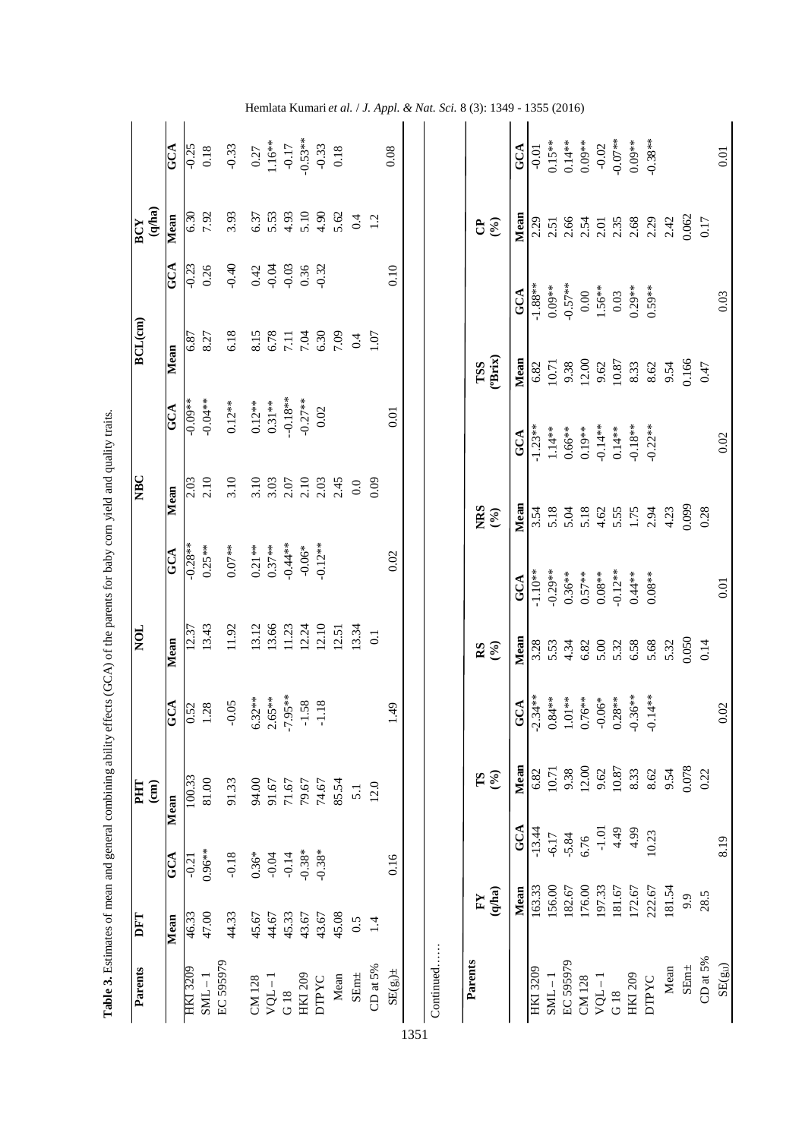|                            | <b>ACA</b>               |                     | $-0.25$<br>0.18     | $-0.33$<br>0.27<br>1.16**<br>$-0.17$<br>-0.53**<br>0.18 |                                      |           |                               |                                                         |              |                                                                                                                                                                                                                                                                                                               |                                                                                                     |                  | 0.08          |                                  | GCA           |                 |         |           |                                            |         |                                  | $-0.01$<br>$0.15**$<br>$0.14**$<br>$0.09**$<br>$-0.07$<br>$-0.07$<br>$0.09**$<br>$0.09**$ |              |                                                            |                                                                                                                                                                                                                                                                                                                                                                          |             | 0.01                                             |
|----------------------------|--------------------------|---------------------|---------------------|---------------------------------------------------------|--------------------------------------|-----------|-------------------------------|---------------------------------------------------------|--------------|---------------------------------------------------------------------------------------------------------------------------------------------------------------------------------------------------------------------------------------------------------------------------------------------------------------|-----------------------------------------------------------------------------------------------------|------------------|---------------|----------------------------------|---------------|-----------------|---------|-----------|--------------------------------------------|---------|----------------------------------|-------------------------------------------------------------------------------------------|--------------|------------------------------------------------------------|--------------------------------------------------------------------------------------------------------------------------------------------------------------------------------------------------------------------------------------------------------------------------------------------------------------------------------------------------------------------------|-------------|--------------------------------------------------|
| (q/ha)<br>$\overline{BCY}$ | Mean                     |                     | 6.30<br>7.92        | 3.93                                                    |                                      |           |                               |                                                         |              |                                                                                                                                                                                                                                                                                                               | $\begin{array}{c} 6.37 \\ 6.53 \\ 5.493 \\ 4.54 \\ 6.62 \\ 7.490 \\ 8.62 \\ 1.2 \\ 1.2 \end{array}$ |                  |               | $E\hat{\mathcal{E}}$             |               |                 |         |           |                                            |         |                                  |                                                                                           |              |                                                            | $\sum_{1}^{1} \frac{1}{2} \sum_{1}^{1} \sum_{1}^{1} \sum_{1}^{1} \sum_{1}^{1} \sum_{1}^{1} \sum_{1}^{1} \sum_{1}^{1} \sum_{1}^{1} \sum_{1}^{1} \sum_{1}^{1} \sum_{1}^{1} \sum_{1}^{1} \sum_{1}^{1} \sum_{1}^{1} \sum_{1}^{1} \sum_{1}^{1} \sum_{1}^{1} \sum_{1}^{1} \sum_{1}^{1} \sum_{1}^{1} \sum_{1}^{1} \sum_{1}^{1} \sum_{1}^{1} \sum_{1}^{1} \sum_{1}^{1} \sum_{1}$ |             |                                                  |
|                            | Š                        | $\frac{23}{10}$     | 0.26                | $-0.40$                                                 | $0.42$<br>$0.03$<br>$0.36$<br>$0.32$ |           |                               |                                                         |              |                                                                                                                                                                                                                                                                                                               |                                                                                                     |                  | 0.10          |                                  | GCA           |                 |         |           |                                            |         |                                  | $-1.88$ **<br>0.09**<br>0.00*<br>0.00<br>0.03<br>1.56**<br>0.29**                         |              |                                                            |                                                                                                                                                                                                                                                                                                                                                                          |             | 0.03                                             |
| $\overline{BCL(cm)}$       | $\overline{\text{Mean}}$ | 6.87                | 8.27                | 6.18                                                    |                                      |           |                               |                                                         |              |                                                                                                                                                                                                                                                                                                               |                                                                                                     |                  |               | TSS<br>(Brix)                    |               |                 |         |           |                                            |         |                                  |                                                                                           |              |                                                            | Mean<br>$6.82$<br>$10.71$<br>$9.38$<br>$12.00$<br>$9.62$<br>$10.87$<br>$8.33$<br>$8.62$<br>$8.62$<br>$8.54$                                                                                                                                                                                                                                                              | 0.47        |                                                  |
|                            | GCA                      | $-0.09**$           | $-0.04**$           | $0.12***$                                               | $0.12***$<br>0.31**                  |           |                               | $-0.18**$<br>$-0.27**$<br>0.02                          |              |                                                                                                                                                                                                                                                                                                               |                                                                                                     |                  | 0.01          |                                  | GCA           |                 |         |           |                                            |         |                                  | $-1.23**$<br>$1.14**$<br>$0.66**$<br>$0.19**$<br>$-0.14**$<br>$0.14**$<br>$0.18**$        | $-0.22**$    |                                                            |                                                                                                                                                                                                                                                                                                                                                                          |             | 0.02                                             |
| E                          | Mean                     |                     | $\frac{2.03}{2.10}$ | 3.10                                                    |                                      |           |                               |                                                         |              | $\begin{array}{c} 10 \\ 3.03 \\ 3.07 \\ 2.10 \\ 3.03 \\ 4.03 \\ 5.03 \\ 6.03 \\ 7.03 \\ 8.03 \\ 9.03 \\ 9.03 \\ 9.03 \\ 9.03 \\ 9.03 \\ 9.03 \\ 9.03 \\ 9.03 \\ 9.03 \\ 9.03 \\ 9.03 \\ 9.03 \\ 9.03 \\ 9.03 \\ 9.03 \\ 9.03 \\ 9.03 \\ 9.03 \\ 9.03 \\ 9.03 \\ 9.03 \\ 9.03 \\ 9.03 \\ 9.03 \\ 9.03 \\ 9.03$ |                                                                                                     | 0.09             |               |                                  |               |                 |         |           |                                            |         |                                  |                                                                                           |              |                                                            |                                                                                                                                                                                                                                                                                                                                                                          |             |                                                  |
|                            |                          |                     |                     |                                                         |                                      |           |                               |                                                         |              |                                                                                                                                                                                                                                                                                                               |                                                                                                     |                  |               | NRS<br>(%)                       | $\frac{1}{2}$ |                 |         |           |                                            |         |                                  |                                                                                           |              | 3.54<br>5.18<br>5.18<br>5.4 5.55<br>5.34<br>5.29<br>5.0099 |                                                                                                                                                                                                                                                                                                                                                                          | 0.28        |                                                  |
|                            | GCA                      | $-0.28**$           | $0.25***$           | $0.07**$                                                | $0.21***$<br>$0.37***$<br>$-0.44***$ |           |                               | $-0.06*$<br>$-0.12**$                                   |              |                                                                                                                                                                                                                                                                                                               |                                                                                                     |                  | 0.02          |                                  | GCA           | $-1.10**$       |         |           | $-0.29**$<br>0.36 **<br>0.57 **<br>0.08 ** |         |                                  | $-0.12***$<br>0.44**                                                                      | $0.08**$     |                                                            |                                                                                                                                                                                                                                                                                                                                                                          |             | 0.01                                             |
| $\overline{\text{S}}$      | $\overline{\text{Mean}}$ | 12.37               | 13.43               | 11.92                                                   |                                      |           | $13.12$<br>$13.66$<br>$11.23$ |                                                         |              |                                                                                                                                                                                                                                                                                                               | $12.24$<br>$12.10$<br>$12.51$<br>$13.34$                                                            | $\overline{0}$ . |               | $\mathbf{g}\in\mathbf{S}$        | Mear          |                 |         |           |                                            |         |                                  |                                                                                           |              |                                                            |                                                                                                                                                                                                                                                                                                                                                                          |             |                                                  |
|                            | Š                        |                     | $\frac{0.52}{1.28}$ | $-0.05$                                                 |                                      |           |                               | $6.32**$<br>$2.65**$<br>$-7.95**$<br>$-1.58$<br>$-1.18$ |              |                                                                                                                                                                                                                                                                                                               |                                                                                                     |                  | 1.49          |                                  | GCA           |                 |         |           |                                            |         |                                  | $-2.34**$<br>$0.84**$<br>$1.01**$<br>$0.76**$<br>$-0.06**$<br>$-0.36**$                   | $-0.14**$    |                                                            |                                                                                                                                                                                                                                                                                                                                                                          |             | 0.02                                             |
| $\binom{1}{k}$<br>E        | Mean                     | $\overline{100.33}$ | 81.00               | 91.33                                                   | 94.00                                | 91.67     | $71.67$                       | 79.67                                                   | 74.67        | 85.54                                                                                                                                                                                                                                                                                                         | 5.1                                                                                                 | 12.0             |               | $\mathcal{S}$                    | Mean          | $6.82$<br>10.71 |         |           |                                            |         | $9.38$<br>12.00<br>9.62<br>10.87 | 8.33                                                                                      | 8.62         | 9.54                                                       | 0.078                                                                                                                                                                                                                                                                                                                                                                    | 0.22        |                                                  |
|                            | Ğ                        | $\sqrt{0.21}$       | $0.96**$            | $-0.18$                                                 |                                      | $0.36*$   | $-0.14$                       |                                                         | $-0.38*$     |                                                                                                                                                                                                                                                                                                               |                                                                                                     |                  | 0.16          |                                  | GCA           | $-13.44$        | $-6.17$ | $-5.84$   | 6.76                                       |         | $-1.01$<br>4.49<br>4.99          |                                                                                           | 10.23        |                                                            |                                                                                                                                                                                                                                                                                                                                                                          |             | 8.19                                             |
| DFT                        | Mean                     | 46.33               | 47.00               | 44.33                                                   | 45.67                                | 44.67     | 45.33                         | 43.67                                                   | 43.67        | 45.08                                                                                                                                                                                                                                                                                                         | 0.5                                                                                                 | 1.4              |               | (q/ha)<br>$\mathbf{F}\mathbf{Y}$ | Mean          | 163.33          | 156.00  | 182.67    | 176.00                                     | 197.33  | $181.67$                         | 172.67                                                                                    | 222.67       | 181.54                                                     | 9.9                                                                                                                                                                                                                                                                                                                                                                      | 28.5        |                                                  |
| Parents                    |                          | HKI 3209            | $SML-1$             | EC 595979                                               | CM 128                               | $VQL - 1$ | G18                           | <b>HKI 209</b>                                          | <b>DIPYC</b> | Mean                                                                                                                                                                                                                                                                                                          | $SEnn\pm$                                                                                           | CD at $5\%$      | $SE(g_i) \pm$ | Parents                          |               | <b>HKI 3209</b> | $SML-1$ | EC 595979 | CM 128                                     | $VQL-1$ | G18                              | HKI 209                                                                                   | <b>DTPYC</b> | Mean                                                       | ${\bf SEm\pm}$                                                                                                                                                                                                                                                                                                                                                           | CD at $5\%$ | $\text{SE}(\ensuremath{\mathbf{g}}_{\text{iJ}})$ |

Table 3. Estimates of mean and general combining ability effects (GCA) of the parents for baby corn yield and quality traits. **Table 3.** Estimates of mean and general combining ability effects (GCA) of the parents for baby corn yield and quality traits.

1351

Hemlata Kumari *et al.*  / *J. Appl. & Nat. Sci.* 8 (3): 1349 - 1355 (2016)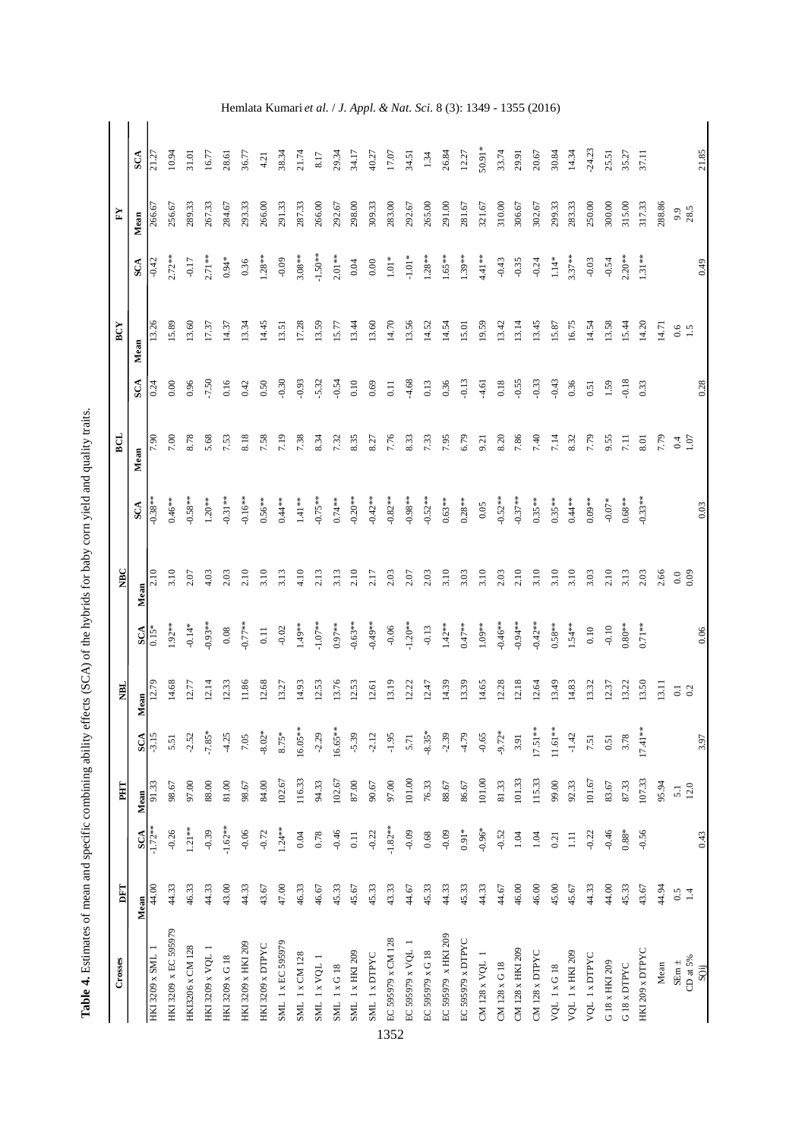| $\ddot{\phantom{a}}$                                                                                                                                                 |
|----------------------------------------------------------------------------------------------------------------------------------------------------------------------|
|                                                                                                                                                                      |
|                                                                                                                                                                      |
|                                                                                                                                                                      |
|                                                                                                                                                                      |
|                                                                                                                                                                      |
|                                                                                                                                                                      |
|                                                                                                                                                                      |
| Į                                                                                                                                                                    |
|                                                                                                                                                                      |
|                                                                                                                                                                      |
|                                                                                                                                                                      |
|                                                                                                                                                                      |
|                                                                                                                                                                      |
| í                                                                                                                                                                    |
|                                                                                                                                                                      |
|                                                                                                                                                                      |
|                                                                                                                                                                      |
| )                                                                                                                                                                    |
|                                                                                                                                                                      |
|                                                                                                                                                                      |
|                                                                                                                                                                      |
|                                                                                                                                                                      |
|                                                                                                                                                                      |
|                                                                                                                                                                      |
|                                                                                                                                                                      |
|                                                                                                                                                                      |
|                                                                                                                                                                      |
| l                                                                                                                                                                    |
| ١                                                                                                                                                                    |
|                                                                                                                                                                      |
|                                                                                                                                                                      |
| i<br>S                                                                                                                                                               |
|                                                                                                                                                                      |
|                                                                                                                                                                      |
|                                                                                                                                                                      |
|                                                                                                                                                                      |
|                                                                                                                                                                      |
| ֖֖֪ׅׅ֖ׅ֪ׅ֪֪ׅ֪֪ׅ֖֧֪ׅ֪ׅ֪֪֪֪֪֪֪֪֪ׅ֪֪ׅ֚֚֚֚֚֚֚֚֚֚֚֚֚֚֚֚֚֚֚֚֚֚֚֚֚֚֚֚֚֚֚֚֚֚֚֡֝֝֬֓֓֞֓֞֝֬֝֬֝֬֝֝֬                                                                              |
|                                                                                                                                                                      |
|                                                                                                                                                                      |
|                                                                                                                                                                      |
|                                                                                                                                                                      |
|                                                                                                                                                                      |
|                                                                                                                                                                      |
|                                                                                                                                                                      |
|                                                                                                                                                                      |
|                                                                                                                                                                      |
|                                                                                                                                                                      |
|                                                                                                                                                                      |
|                                                                                                                                                                      |
|                                                                                                                                                                      |
| $\frac{1}{1}$                                                                                                                                                        |
|                                                                                                                                                                      |
|                                                                                                                                                                      |
|                                                                                                                                                                      |
| $\begin{array}{c} \begin{array}{c} \begin{array}{c} \begin{array}{c} \end{array} \\ \end{array} \\ \begin{array}{c} \end{array} \end{array} \end{array} \end{array}$ |
|                                                                                                                                                                      |
|                                                                                                                                                                      |
|                                                                                                                                                                      |
|                                                                                                                                                                      |
|                                                                                                                                                                      |
|                                                                                                                                                                      |
|                                                                                                                                                                      |
|                                                                                                                                                                      |
|                                                                                                                                                                      |
|                                                                                                                                                                      |
|                                                                                                                                                                      |
| ļ                                                                                                                                                                    |
|                                                                                                                                                                      |
|                                                                                                                                                                      |
|                                                                                                                                                                      |
| ì<br>ត<br>ľ<br>l                                                                                                                                                     |

| Crosses                               | DFT   |                | PHT     |           | <b>NBL</b> |            | <b>NBC</b>        |            | ECL  |                   | BCY     |            | $\mathbf{K}$ |          |
|---------------------------------------|-------|----------------|---------|-----------|------------|------------|-------------------|------------|------|-------------------|---------|------------|--------------|----------|
|                                       | Mean  | SCA            | Mean    | SCA       | Mean       | SCA        | Mean              | SCA        | Mean | SCA               | Mean    | SCA        | Mean         | SCA      |
| HKI 3209 x SML 1                      | 44.00 | $-1.72**$      | 91.33   | $-3.15$   | 12.79      | $0.15*$    | $\overline{2.10}$ | $-0.38**$  | 7.90 | $\overline{0.24}$ | 13.26   | $-0.42$    | 266.67       | 21.27    |
| HKI 3209 x EC 595979                  | 44.33 | $-0.26$        | 98.67   | 5.51      | 14.68      | $1.92**$   | 3.10              | $0.46***$  | 7.00 | 0.00              | 15.89   | $2.72**$   | 256.67       | 10.94    |
| HKI3206 x CM 128                      | 46.33 | $1.21**$       | 97.00   | $-2.52$   | 12.77      | $-0.14*$   | 2.07              | $-0.58**$  | 8.78 | 0.96              | 13.60   | $-0.17$    | 289.33       | 31.01    |
| HKI 3209 x VQL                        | 44.33 | $-0.39$        | 88.00   | $-7.85*$  | 12.14      | $-0.93**$  | 4.03              | $1.20***$  | 5.68 | $-7.50$           | 17.37   | $2.71**$   | 267.33       | 16.77    |
| HKI 3209 x G 18                       | 43.00 | $-1.62**$      | 81.00   | $-4.25$   | 12.33      | $0.08\,$   | 2.03              | $-0.31**$  | 7.53 | 0.16              | 14.37   | $0.94*$    | 284.67       | 28.61    |
| HKI 3209 x HKI 209                    | 44.33 | $-0.06$        | 98.67   | 7.05      | 11.86      | $-0.77**$  | 2.10              | $-0.16**$  | 8.18 | 0.42              | 13.34   | 0.36       | 293.33       | 36.77    |
| HKI 3209 x DTPYC                      | 43.67 | $-0.72$        | 84.00   | $-8.02*$  | 12.68      | $0.11$     | 3.10              | $0.56***$  | 7.58 | 0.50              | 14.45   | $1.28**$   | 266.00       | 4.21     |
| SML 1 x EC 595979                     | 47.00 | $1.24***$      | 102.67  | $8.75*$   | 13.27      | $-0.02$    | 3.13              | $0.44**$   | 7.19 | $-0.30$           | 13.51   | $-0.09$    | 291.33       | 38.34    |
| <b>SML 1 x CM 128</b>                 | 46.33 | 0.04           | 116.33  | 16.05**   | 14.93      | $1.49**$   | 4.10              | $1.41**$   | 7.38 | $-0.93$           | 17.28   | $3.08***$  | 287.33       | 21.74    |
| SML 1 x VQL 1                         | 46.67 | 0.78           | 94.33   | $-2.29$   | 12.53      | $-1.07**$  | 2.13              | $-0.75**$  | 8.34 | $-5.32$           | 13.59   | $-1.50**$  | 266.00       | $8.17\,$ |
| $\text{SML}$ $1 \times \text{G}$ $18$ | 45.33 | $-0.46$        | 102.67  | 16.65**   | 13.76      | $0.97***$  | 3.13              | $0.74***$  | 7.32 | $-0.54$           | 15.77   | $2.01***$  | 292.67       | 29.34    |
| SML 1 x HKI 209                       | 45.67 | $0.11$         | 87.00   | $-5.39$   | 12.53      | $-0.63**$  | 2.10              | $-0.20**$  | 8.35 | $0.10\,$          | 13.44   | 0.04       | 298.00       | 34.17    |
| SML 1 x DTPYC                         | 45.33 | $-0.22$        | $90.67$ | $-2.12$   | 12.61      | $-0.49**$  | 2.17              | $-0.42**$  | 8.27 | 0.69              | 13.60   | $0.00\,$   | 309.33       | 40.27    |
| EC 595979 x CM 128                    | 43.33 | $-1.82**$      | 97.00   | $-1.95$   | 13.19      | $-0.06$    | 2.03              | $-0.82**$  | 7.76 | $0.11$            | 14.70   | $1.01\,^*$ | 283.00       | 17.07    |
| EC 595979 x VQL 1                     | 44.67 | $-0.09$        | 101.00  | 5.71      | 12.22      | $-1.20**$  | 2.07              | $-0.98**$  | 8.33 | $-4.68$           | 13.56   | $-1.01*$   | 292.67       | 34.51    |
| EC 595979 x G 18                      | 45.33 | 0.68           | 76.33   | $-8.35*$  | 12.47      | $-0.13$    | 2.03              | $-0.52***$ | 7.33 | 0.13              | 14.52   | $1.28**$   | 265.00       | 1.34     |
| EC 595979 x HKI 209                   | 44.33 | $-0.09$        | $88.67$ | $-2.39$   | 14.39      | $1.42***$  | 3.10              | $0.63***$  | 7.95 | 0.36              | 14.54   | $1.65***$  | 291.00       | 26.84    |
| EC 595979 x DTPYC                     | 45.33 | $0.91*$        | 86.67   | $-4.79$   | 13.39      | $0.47***$  | 3.03              | $0.28***$  | 6.79 | $-0.13$           | 15.01   | $1.39**$   | $281.67\,$   | 12.27    |
| CM 128 x VQL                          | 44.33 | $-0.96*$       | 101.00  | $-0.65$   | 14.65      | $1.09**$   | 3.10              | $0.05\,$   | 9.21 | $-4.61$           | 19.59   | 4.41 **    | 321.67       | 50.91*   |
| CM 128 x G 18                         | 44.67 | $-0.52$        | 81.33   | $-9.72*$  | 12.28      | $-0.46**$  | 2.03              | $-0.52**$  | 8.20 | $0.18\,$          | 13.42   | $-0.43$    | 310.00       | 33.74    |
| CM 128 x HKI 209                      | 46.00 | $1.04$         | 101.33  | 3.91      | 12.18      | $-0.94***$ | 2.10              | $-0.37**$  | 7.86 | $-0.55$           | 13.14   | $-0.35$    | 306.67       | 29.91    |
| CM 128 x DTPYC                        | 46.00 | 1.04           | 115.33  | $17.51**$ | 12.64      | $-0.42**$  | 3.10              | $0.35***$  | 7.40 | $-0.33$           | 13.45   | $-0.24$    | 302.67       | 20.67    |
| <b>VQL 1xG18</b>                      | 45.00 | 0.21           | 99.00   | $11.61**$ | 13.49      | $0.58***$  | 3.10              | $0.35***$  | 7.14 | $-0.43$           | 15.87   | $1.14*$    | 299.33       | 30.84    |
| VQL 1 x HKI 209                       | 45.67 | $\overline{1}$ | 92.33   | $-1.42$   | 14.83      | $1.54**$   | 3.10              | $0.44***$  | 8.32 | 0.36              | 16.75   | $3.37***$  | 283.33       | 14.34    |
| VQL 1 x DTPYC                         | 44.33 | $-0.22$        | 101.67  | 7.51      | 13.32      | $0.10\,$   | 3.03              | $0.09***$  | 7.79 | 0.51              | 14.54   | $-0.03$    | 250.00       | $-24.23$ |
| G 18 x HKI 209                        | 44.00 | $-0.46$        | 83.67   | 0.51      | 12.37      | $-0.10$    | 2.10              | $-0.07*$   | 9.55 | 1.59              | 13.58   | $-0.54$    | 300.00       | 25.51    |
| G 18 x DTPYC                          | 45.33 | $0.88*$        | 87.33   | 3.78      | 13.22      | $0.80**$   | 3.13              | $0.68***$  | 7.11 | $-0.18$           | 15.44   | $2.20***$  | 315.00       | 35.27    |
| HKI 209 x DTPYC                       | 43.67 | $-0.56$        | 107.33  | $17.41**$ | 13.50      | $0.71***$  | 2.03              | $-0.33**$  | 8.01 | 0.33              | 14.20   | $1.31***$  | 317.33       | 37.11    |
| Mean                                  | 44.94 |                | 95.94   |           | 13.11      |            | 2.66              |            | 7.79 |                   | 14.71   |            | 288.86       |          |
| SEm $\pm$                             | 0.5   |                | 5.1     |           | $\Xi$      |            | $_{\rm 0.0}$      |            | 0.4  |                   | $0.6\,$ |            | 9.9          |          |
| CD at $5\%$<br>SOij                   | 1.4   | 0.43           | 12.0    | 3.97      | 0.2        | 0.06       | 0.09              | 0.03       | 1.07 | 0.28              | 1.5     | 64.0       | 28.5         | 21.85    |
|                                       |       |                |         |           |            |            |                   |            |      |                   |         |            |              |          |

Hemlata Kumari *et al.*  / *J. Appl. & Nat. Sci.* 8 (3): 1349 - 1355 (2016)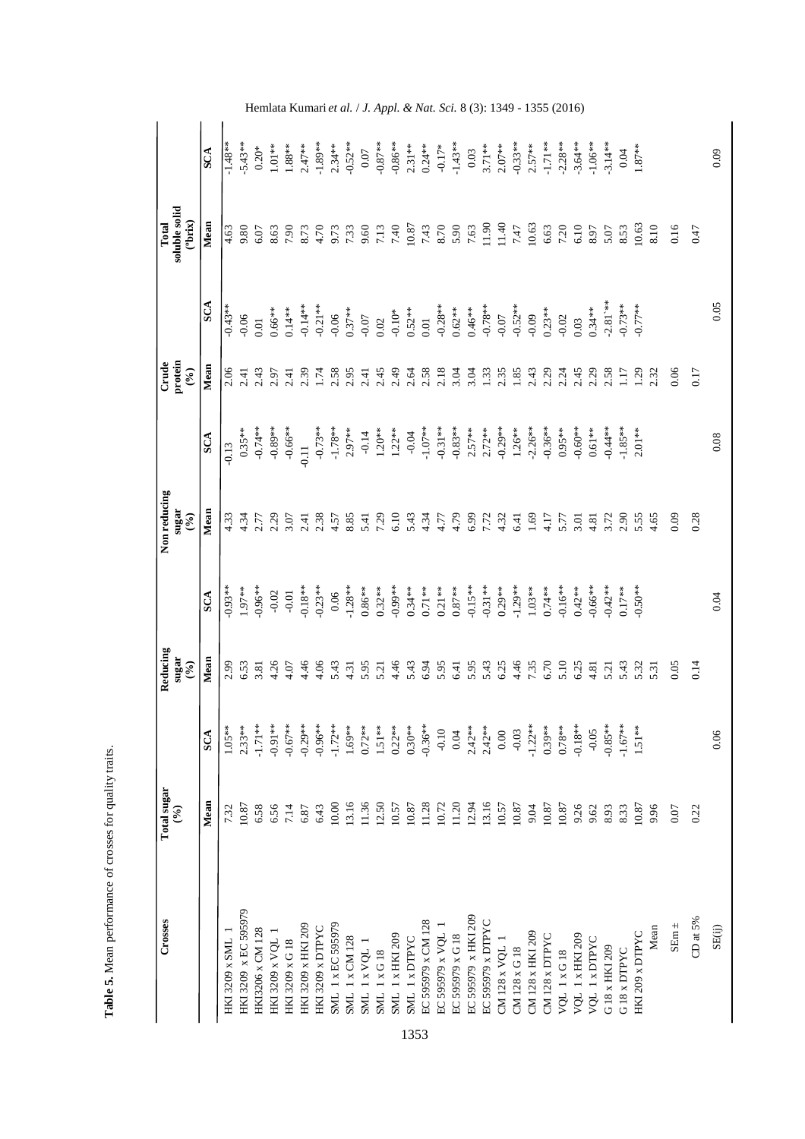| Crosses                 | <b>Total sugar</b><br>$\mathcal{S}$ |            | Reducing<br>sugar<br>$\mathcal{E}(\mathcal{E})$ |            | Non reducing<br>sugar<br>$(\frac{6}{6})$ |            | protein<br>Crude<br>$(°_0)$          |                                          | soluble solid<br>("brix")<br>Total |            |
|-------------------------|-------------------------------------|------------|-------------------------------------------------|------------|------------------------------------------|------------|--------------------------------------|------------------------------------------|------------------------------------|------------|
|                         | Mean                                | SCA        | Mean                                            | SCA        | Mean                                     | SCA        | Mean                                 | <b>SCA</b>                               | Mean                               | <b>SCA</b> |
| HKI 3209 x SML 1        | 7.32                                | $1.05**$   | 2.99                                            | $-0.93**$  | 4.33                                     | $-0.13$    | 2.06                                 | $-0.43**$                                | 4.63                               | $-1.48**$  |
| HKI 3209 x EC 595979    | 10.87                               | $2.33**$   | 6.53                                            | 1.97**     | 4.34                                     | $0.35**$   | 2.41                                 | 0.06                                     | 9.80                               | $-5.43**$  |
| <b>HKI3206 x CM 128</b> | 6.58                                | $-1.71**$  | 3.81                                            | $-0.96**$  | 2.77                                     | $-0.74**$  | 2.43                                 | 0.01                                     | 6.07                               | $0.20*$    |
| <b>HKI 3209 x VQL</b>   | 6.56                                | $-0.91**$  | 4.26                                            | $-0.02$    | 2.29                                     | $-0.89***$ | 2.97                                 | $0.66***$                                | 8.63                               | $1.01**$   |
| HKI 3209 x G 18         | 7.14                                | $-0.67**$  | 4.07                                            | $-0.01$    | 3.07                                     | $-0.66***$ | 2.41                                 | $0.14***$                                | 7.90                               | $1.88***$  |
| HKI 3209 x HKI 209      | 6.87                                | $-0.29**$  | 4.46                                            | $-0.18**$  | 2.41                                     | 0.11       | 2.39                                 | $-0.14**$                                | 8.73                               | $2.47***$  |
| HKI 3209 x DTPYC        | 6.43                                | $-0.96**$  | 4.06                                            | $-0.23**$  | 2.38                                     | $-0.73**$  | 1.74                                 | $-0.21**$                                | 4.70                               | $-1.89**$  |
| SML 1 x EC 595979       | 10.00                               | $-1.72**$  | 5.43                                            | $0.06$     | 4.57                                     | $-1.78**$  | 2.58                                 | $-0.06$                                  | 9.73                               | $2.34***$  |
| SML 1 x CM 128          | 13.16                               | $1.69**$   | 4.31                                            | $-1.28**$  | 8.85                                     | $2.97***$  | 2.95                                 | $0.37***$                                |                                    | $-0.52**$  |
| SML 1 x VQL 1           | 11.36                               | $0.72***$  | 5.95                                            | $0.86***$  | 5.41                                     | $-0.14$    | 2.41                                 | $-0.07$                                  | 7.33<br>9.60                       | $0.07\,$   |
| <b>SML 1xG18</b>        | 12.50                               | $1.51**$   | 5.21                                            | $0.32***$  | 7.29                                     | $1.20**$   | 2.45                                 | 0.02                                     | 7.13                               | $-0.87**$  |
| SML 1 x HKI 209         | 10.57                               | $0.22**$   | 4.46                                            | $-0.99**$  | 6.10                                     | $1.22**$   | 2.49                                 | $-0.10*$                                 | 7.40                               | $-0.86**$  |
| SML 1 x DTPYC           | 10.87                               | $0.30**$   | 5.43                                            | $0.34***$  | 5.43                                     | $-0.04$    | 2.64                                 | $0.52***$                                | 10.87                              | $2.31***$  |
| EC 595979 x CM 128      | 11.28                               | $-0.36***$ | 6.94                                            | $0.71**$   | 4.34                                     | $-1.07**$  | 2.58                                 | 0.01                                     | 7.43                               | $0.24**$   |
| EC 595979 x VQL 1       | 10.72                               | $-0.10$    | 5.95                                            | $0.21***$  | 4.77                                     | $-0.31***$ | 2.18                                 | $-0.28**$                                | 8.70                               | $-0.17*$   |
| EC 595979 x G 18        | 11.20                               | 0.04       | 6.41                                            | $0.87***$  | 4.79                                     | $-0.83**$  | 3.04                                 | $0.62**$                                 | 5.90                               | $-1.43**$  |
| EC 595979 x HKI 209     | 12.94                               | $2.42**$   | 5.95                                            | $-0.15**$  | 6.99                                     | $2.57**$   | 3.04                                 |                                          | 7.63                               | 0.03       |
| EC 595979 x DTPYC       | 13.16                               | $2.42***$  | 5.43                                            | $-0.31***$ | 7.72                                     | $2.72***$  |                                      |                                          | 11.90                              | $3.71***$  |
| CM 128 x VQL 1          | 10.57                               | $0.00\,$   | 6.25                                            | $0.29***$  | 4.32                                     | $-0.29**$  | $1.33$<br>$2.35$<br>$1.85$<br>$2.43$ | $0.46***$<br>-0.78**<br>-0.07<br>-0.52** | 11.40                              | $2.07***$  |
| CM 128 x G 18           | 10.87                               | $-0.03$    | 4.46                                            | $-1.29**$  | 6.41                                     | $1.26***$  |                                      |                                          | 7.47                               | $-0.33***$ |
| CM 128 x HKI 209        | 9.04                                | $-1.22**$  | 7.35                                            | $1.03***$  | 1.69                                     | $-2.26***$ |                                      | $-0.09$                                  | 10.63                              | $2.57***$  |
| CM 128 x DTPYC          | 10.87                               | $0.39**$   | 6.70                                            | $0.74***$  | 4.17                                     | $-0.36**$  | 2.29                                 | $0.23***$                                | 6.63                               | $-1.71**$  |
| <b>VQL 1xG18</b>        | 10.87                               | $0.78**$   | 5.10                                            | $-0.16***$ | 5.77                                     | $0.95***$  | 2.24                                 | $-0.02$                                  | 7.20                               | $-2.28**$  |
| VQL 1 x HKI 209         | 9.26                                | $-0.18***$ | 6.25                                            | $0.42***$  | 3.01                                     | $-0.60**$  | 2.45                                 | 0.03                                     | 6.10                               | $-3.64**$  |
| VQL 1 x DTPYC           | 9.62                                | $-0.05$    | 4.81                                            | $0.66***$  | 4.81                                     | $0.61***$  |                                      | $0.34***$                                | 8.97                               | $-1.06**$  |
| G 18 x HKI 209          | 8.93                                | $-0.85***$ | 5.21                                            | $-0.42**$  | 3.72                                     | $-0.44**$  | 2.29<br>2.58                         | $-2.81***$                               | 5.07                               | $-3.14**$  |
| G 18 x DTPYC            | 8.33                                | $-1.67***$ | 5.43                                            | $0.17**$   | 2.90                                     | $-1.85***$ | $\Xi$                                | $0.73**$                                 | 8.53                               | 0.04       |
| HKI 209 x DTPYC         | 10.87                               | $1.51**$   | 5.32                                            | $0.50**$   | 5.55                                     | $2.01***$  | $^{129}$                             | $0.77**$                                 | 10.63                              | $1.87***$  |
| Mean                    | 9.96                                |            | 5.31                                            |            | 4.65                                     |            | 2.32                                 |                                          | 8.10                               |            |
| SEm $\pm$               | 0.07                                |            | 0.05                                            |            | 0.09                                     |            | 0.06                                 |                                          | 0.16                               |            |
| CD at $5\%$             | 0.22                                |            | 0.14                                            |            | 0.28                                     |            | 0.17                                 |                                          | 0.47                               |            |
| SE(ij)                  |                                     | 0.06       |                                                 | 0.04       |                                          | 0.08       |                                      | 0.05                                     |                                    | 0.09       |

Table 5. Mean performance of crosses for quality traits. **Table 5.** Mean performance of crosses for quality traits.

Hemlata Kumari *et al.*  / *J. Appl. & Nat. Sci.* 8 (3): 1349 - 1355 (2016)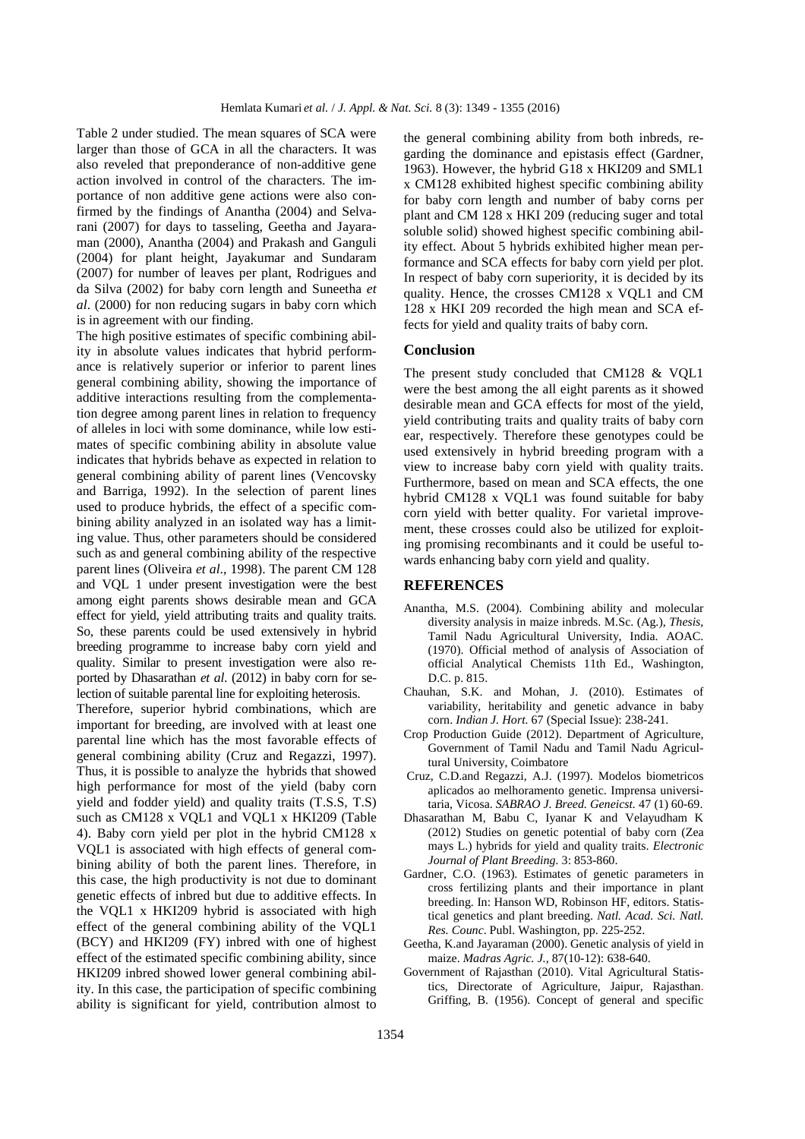Table 2 under studied. The mean squares of SCA were larger than those of GCA in all the characters. It was also reveled that preponderance of non-additive gene action involved in control of the characters. The importance of non additive gene actions were also confirmed by the findings of Anantha (2004) and Selvarani (2007) for days to tasseling, Geetha and Jayaraman (2000), Anantha (2004) and Prakash and Ganguli (2004) for plant height, Jayakumar and Sundaram (2007) for number of leaves per plant, Rodrigues and da Silva (2002) for baby corn length and Suneetha *et al*. (2000) for non reducing sugars in baby corn which is in agreement with our finding.

The high positive estimates of specific combining ability in absolute values indicates that hybrid performance is relatively superior or inferior to parent lines general combining ability, showing the importance of additive interactions resulting from the complementation degree among parent lines in relation to frequency of alleles in loci with some dominance, while low estimates of specific combining ability in absolute value indicates that hybrids behave as expected in relation to general combining ability of parent lines (Vencovsky and Barriga, 1992). In the selection of parent lines used to produce hybrids, the effect of a specific combining ability analyzed in an isolated way has a limiting value. Thus, other parameters should be considered such as and general combining ability of the respective parent lines (Oliveira *et al*., 1998). The parent CM 128 and VQL 1 under present investigation were the best among eight parents shows desirable mean and GCA effect for yield, yield attributing traits and quality traits. So, these parents could be used extensively in hybrid breeding programme to increase baby corn yield and quality. Similar to present investigation were also reported by Dhasarathan *et al*. (2012) in baby corn for selection of suitable parental line for exploiting heterosis.

Therefore, superior hybrid combinations, which are important for breeding, are involved with at least one parental line which has the most favorable effects of general combining ability (Cruz and Regazzi, 1997). Thus, it is possible to analyze the hybrids that showed high performance for most of the yield (baby corn yield and fodder yield) and quality traits (T.S.S, T.S) such as CM128 x VQL1 and VQL1 x HKI209 (Table 4). Baby corn yield per plot in the hybrid CM128 x VQL1 is associated with high effects of general combining ability of both the parent lines. Therefore, in this case, the high productivity is not due to dominant genetic effects of inbred but due to additive effects. In the VQL1 x HKI209 hybrid is associated with high effect of the general combining ability of the VQL1 (BCY) and HKI209 (FY) inbred with one of highest effect of the estimated specific combining ability, since HKI209 inbred showed lower general combining ability. In this case, the participation of specific combining ability is significant for yield, contribution almost to

the general combining ability from both inbreds, regarding the dominance and epistasis effect (Gardner, 1963). However, the hybrid G18 x HKI209 and SML1 x CM128 exhibited highest specific combining ability for baby corn length and number of baby corns per plant and CM 128 x HKI 209 (reducing suger and total soluble solid) showed highest specific combining ability effect. About 5 hybrids exhibited higher mean performance and SCA effects for baby corn yield per plot. In respect of baby corn superiority, it is decided by its quality. Hence, the crosses CM128 x VQL1 and CM 128 x HKI 209 recorded the high mean and SCA effects for yield and quality traits of baby corn.

## **Conclusion**

The present study concluded that CM128 & VQL1 were the best among the all eight parents as it showed desirable mean and GCA effects for most of the yield, yield contributing traits and quality traits of baby corn ear, respectively. Therefore these genotypes could be used extensively in hybrid breeding program with a view to increase baby corn yield with quality traits. Furthermore, based on mean and SCA effects, the one hybrid CM128 x VQL1 was found suitable for baby corn yield with better quality. For varietal improvement, these crosses could also be utilized for exploiting promising recombinants and it could be useful towards enhancing baby corn yield and quality.

#### **REFERENCES**

- Anantha, M.S. (2004). Combining ability and molecular diversity analysis in maize inbreds. M.Sc. (Ag.), *Thesis*, Tamil Nadu Agricultural University, India. AOAC. (1970). Official method of analysis of Association of official Analytical Chemists 11th Ed., Washington, D.C. p. 815.
- Chauhan, S.K. and Mohan, J. (2010). Estimates of variability, heritability and genetic advance in baby corn. *Indian J. Hort.* 67 (Special Issue): 238-241.
- Crop Production Guide (2012). Department of Agriculture, Government of Tamil Nadu and Tamil Nadu Agricultural University, Coimbatore
- Cruz, C.D.and Regazzi, A.J. (1997). Modelos biometricos aplicados ao melhoramento genetic. Imprensa universitaria, Vicosa. *SABRAO J. Breed. Geneicst.* 47 (1) 60-69.
- Dhasarathan M, Babu C, Iyanar K and Velayudham K (2012) Studies on genetic potential of baby corn (Zea mays L.) hybrids for yield and quality traits. *Electronic Journal of Plant Breeding.* 3: 853-860.
- Gardner, C.O. (1963). Estimates of genetic parameters in cross fertilizing plants and their importance in plant breeding. In: Hanson WD, Robinson HF, editors. Statistical genetics and plant breeding. *Natl. Acad. Sci. Natl. Res. Counc*. Publ. Washington, pp. 225-252.
- Geetha, K.and Jayaraman (2000). Genetic analysis of yield in maize. *Madras Agric. J.,* 87(10-12): 638-640.
- Government of Rajasthan (2010). Vital Agricultural Statistics, Directorate of Agriculture, Jaipur, Rajasthan. Griffing, B. (1956). Concept of general and specific